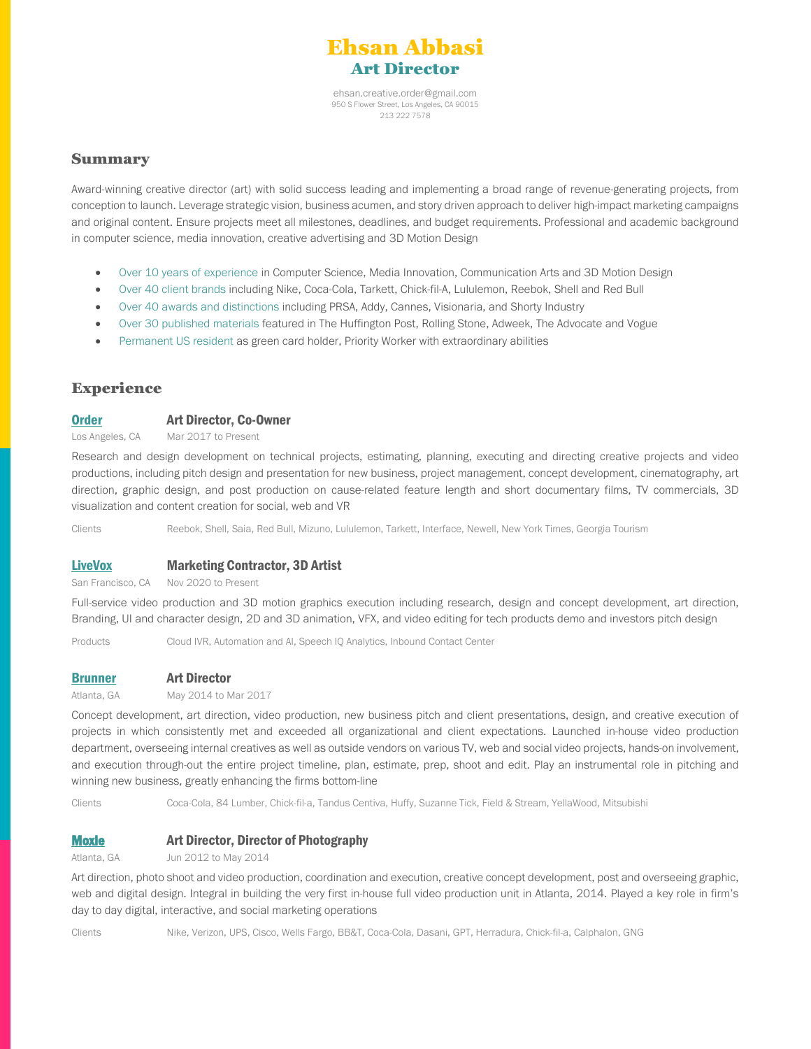

[ehsan.creative.order@gmail.com](mailto:ehsan.creative.order@gmail.com) 950 S Flower Street, Los Angeles, CA 90015 213 222 7578

## Summary

Award-winning creative director (art) with solid success leading and implementing a broad range of revenue-generating projects, from conception to launch. Leverage strategic vision, business acumen, and story driven approach to deliver high-impact marketing campaigns and original content. Ensure projects meet all milestones, deadlines, and budget requirements. Professional and academic background in computer science, media innovation, creative advertising and 3D Motion Design

- Over 10 years of experience in Computer Science, Media Innovation, Communication Arts and 3D Motion Design
- Over 40 client brands including Nike, Coca-Cola, Tarkett, Chick-fil-A, Lululemon, Reebok, Shell and Red Bull
- Over 40 awards and distinctions including PRSA, Addy, Cannes, Visionaria, and Shorty Industry
- Over 30 published materials featured in The Huffington Post, Rolling Stone, Adweek, The Advocate and Vogue
- Permanent US resident as green card holder, Priority Worker with extraordinary abilities

# **Experience**

### [Order](https://www.order-disruption.com/) **Art Director, Co-Owner**

Los Angeles, CA Mar 2017 to Present

Research and design development on technical projects, estimating, planning, executing and directing creative projects and video productions, including pitch design and presentation for new business, project management, concept development, cinematography, art direction, graphic design, and post production on cause-related feature length and short documentary films, TV commercials, 3D visualization and content creation for social, web and VR

Clients Reebok, Shell, Saia, Red Bull, Mizuno, Lululemon, Tarkett, Interface, Newell, New York Times, Georgia Tourism

## [LiveVox](https://livevox.com/) Marketing Contractor, 3D Artist

San Francisco, CA Nov 2020 to Present

Full-service video production and 3D motion graphics execution including research, design and concept development, art direction, Branding, UI and character design, 2D and 3D animation, VFX, and video editing for tech products demo and investors pitch design

Products Cloud IVR, Automation and AI, Speech IQ Analytics, Inbound Contact Center

### [Brunner](https://www.brunnerworks.com/) Art Director

Atlanta, GA May 2014 to Mar 2017

Concept development, art direction, video production, new business pitch and client presentations, design, and creative execution of projects in which consistently met and exceeded all organizational and client expectations. Launched in-house video production department, overseeing internal creatives as well as outside vendors on various TV, web and social video projects, hands-on involvement, and execution through-out the entire project timeline, plan, estimate, prep, shoot and edit. Play an instrumental role in pitching and winning new business, greatly enhancing the firms bottom-line

Clients Coca-Cola, 84 Lumber, Chick-fil-a, Tandus Centiva, Huffy, Suzanne Tick, Field & Stream, YellaWood, Mitsubishi

### [Moxie](https://www.moxieusa.com/) Art Director, Director of Photography

Atlanta, GA Jun 2012 to May 2014

Art direction, photo shoot and video production, coordination and execution, creative concept development, post and overseeing graphic, web and digital design. Integral in building the very first in-house full video production unit in Atlanta, 2014. Played a key role in firm's day to day digital, interactive, and social marketing operations

Clients Nike, Verizon, UPS, Cisco, Wells Fargo, BB&T, Coca-Cola, Dasani, GPT, Herradura, Chick-fil-a, Calphalon, GNG